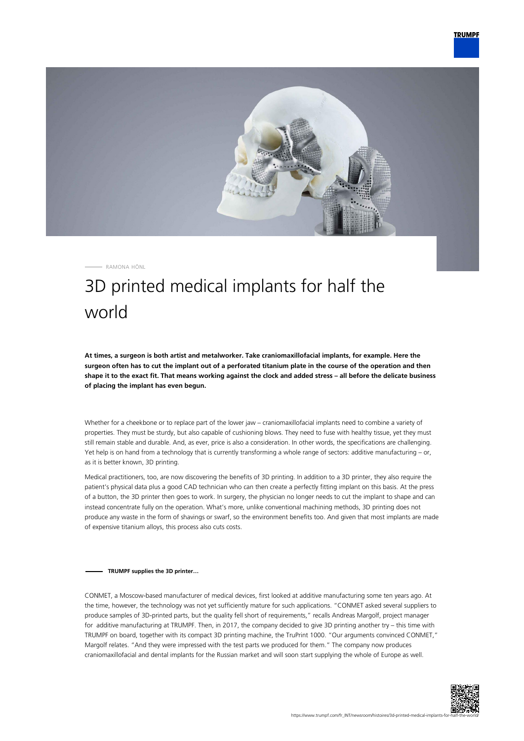

RAMONA HÖNL

## 3D printed medical implants for half the world

**At times, a surgeon is both artist and metalworker. Take craniomaxillofacial implants, for example. Here the surgeon often has to cut the implant out of a perforated titanium plate in the course of the operation and then shape it to the exact fit. That means working against the clock and added stress – all before the delicate business of placing the implant has even begun.**

Whether for a cheekbone or to replace part of the lower jaw – craniomaxillofacial implants need to combine a variety of properties. They must be sturdy, but also capable of cushioning blows. They need to fuse with healthy tissue, yet they must still remain stable and durable. And, as ever, price is also a consideration. In other words, the specifications are challenging. Yet help is on hand from a technology that is currently transforming a whole range of sectors: additive manufacturing – or, as it is better known, 3D printing.

Medical practitioners, too, are now discovering the benefits of 3D printing. In addition to a 3D printer, they also require the patient's physical data plus a good CAD technician who can then create a perfectly fitting implant on this basis. At the press of a button, the 3D printer then goes to work. In surgery, the physician no longer needs to cut the implant to shape and can instead concentrate fully on the operation. What's more, unlike conventional machining methods, 3D printing does not produce any waste in the form of shavings or swarf, so the environment benefits too. And given that most implants are made of expensive titanium alloys, this process also cuts costs.

## **TRUMPF supplies the 3D printer…**

CONMET, a Moscow-based manufacturer of medical devices, first looked at additive manufacturing some ten years ago. At the time, however, the technology was not yet sufficiently mature for such applications. "CONMET asked several suppliers to produce samples of 3D-printed parts, but the quality fell short of requirements," recalls Andreas Margolf, project manager for additive manufacturing at TRUMPF. Then, in 2017, the company decided to give 3D printing another try – this time with TRUMPF on board, together with its compact 3D printing machine, the TruPrint 1000. "Our arguments convinced CONMET," Margolf relates. "And they were impressed with the test parts we produced for them." The company now produces craniomaxillofacial and dental implants for the Russian market and will soon start supplying the whole of Europe as well.